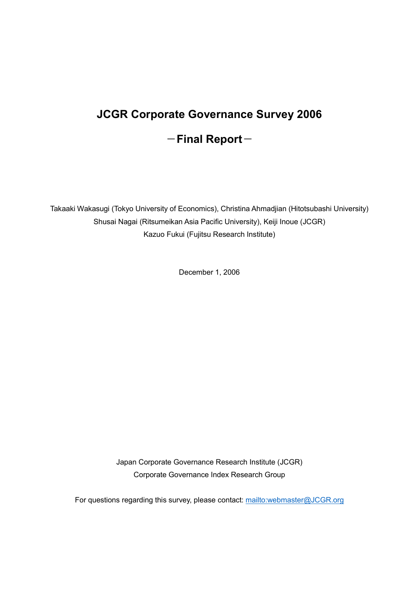# JCGR Corporate Governance Survey 2006

 $-$ Final Report $-$ 

Takaaki Wakasugi (Tokyo University of Economics), Christina Ahmadjian (Hitotsubashi University) Shusai Nagai (Ritsumeikan Asia Pacific University), Keiji Inoue (JCGR) Kazuo Fukui (Fujitsu Research Institute)

December 1, 2006

Japan Corporate Governance Research Institute (JCGR) Corporate Governance Index Research Group

For questions regarding this survey, please contact: mailto:webmaster@JCGR.org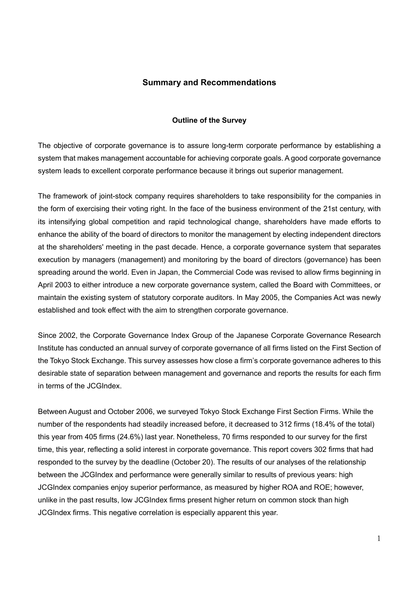## Summary and Recommendations

#### Outline of the Survey

The objective of corporate governance is to assure long-term corporate performance by establishing a system that makes management accountable for achieving corporate goals. A good corporate governance system leads to excellent corporate performance because it brings out superior management.

The framework of joint-stock company requires shareholders to take responsibility for the companies in the form of exercising their voting right. In the face of the business environment of the 21st century, with its intensifying global competition and rapid technological change, shareholders have made efforts to enhance the ability of the board of directors to monitor the management by electing independent directors at the shareholders' meeting in the past decade. Hence, a corporate governance system that separates execution by managers (management) and monitoring by the board of directors (governance) has been spreading around the world. Even in Japan, the Commercial Code was revised to allow firms beginning in April 2003 to either introduce a new corporate governance system, called the Board with Committees, or maintain the existing system of statutory corporate auditors. In May 2005, the Companies Act was newly established and took effect with the aim to strengthen corporate governance.

Since 2002, the Corporate Governance Index Group of the Japanese Corporate Governance Research Institute has conducted an annual survey of corporate governance of all firms listed on the First Section of the Tokyo Stock Exchange. This survey assesses how close a firm's corporate governance adheres to this desirable state of separation between management and governance and reports the results for each firm in terms of the JCGIndex.

Between August and October 2006, we surveyed Tokyo Stock Exchange First Section Firms. While the number of the respondents had steadily increased before, it decreased to 312 firms (18.4% of the total) this year from 405 firms (24.6%) last year. Nonetheless, 70 firms responded to our survey for the first time, this year, reflecting a solid interest in corporate governance. This report covers 302 firms that had responded to the survey by the deadline (October 20). The results of our analyses of the relationship between the JCGIndex and performance were generally similar to results of previous years: high JCGIndex companies enjoy superior performance, as measured by higher ROA and ROE; however, unlike in the past results, low JCGIndex firms present higher return on common stock than high JCGIndex firms. This negative correlation is especially apparent this year.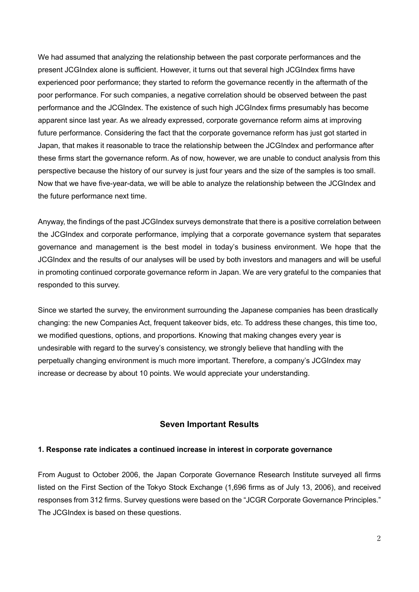We had assumed that analyzing the relationship between the past corporate performances and the present JCGIndex alone is sufficient. However, it turns out that several high JCGIndex firms have experienced poor performance; they started to reform the governance recently in the aftermath of the poor performance. For such companies, a negative correlation should be observed between the past performance and the JCGIndex. The existence of such high JCGIndex firms presumably has become apparent since last year. As we already expressed, corporate governance reform aims at improving future performance. Considering the fact that the corporate governance reform has just got started in Japan, that makes it reasonable to trace the relationship between the JCGIndex and performance after these firms start the governance reform. As of now, however, we are unable to conduct analysis from this perspective because the history of our survey is just four years and the size of the samples is too small. Now that we have five-year-data, we will be able to analyze the relationship between the JCGIndex and the future performance next time.

Anyway, the findings of the past JCGIndex surveys demonstrate that there is a positive correlation between the JCGIndex and corporate performance, implying that a corporate governance system that separates governance and management is the best model in today's business environment. We hope that the JCGIndex and the results of our analyses will be used by both investors and managers and will be useful in promoting continued corporate governance reform in Japan. We are very grateful to the companies that responded to this survey.

Since we started the survey, the environment surrounding the Japanese companies has been drastically changing: the new Companies Act, frequent takeover bids, etc. To address these changes, this time too, we modified questions, options, and proportions. Knowing that making changes every year is undesirable with regard to the survey's consistency, we strongly believe that handling with the perpetually changing environment is much more important. Therefore, a company's JCGIndex may increase or decrease by about 10 points. We would appreciate your understanding.

## Seven Important Results

#### 1. Response rate indicates a continued increase in interest in corporate governance

From August to October 2006, the Japan Corporate Governance Research Institute surveyed all firms listed on the First Section of the Tokyo Stock Exchange (1,696 firms as of July 13, 2006), and received responses from 312 firms. Survey questions were based on the "JCGR Corporate Governance Principles." The JCGIndex is based on these questions.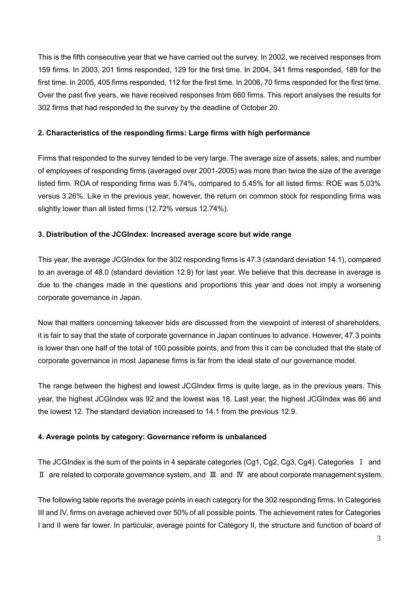This is the fifth consecutive year that we have carried out the survey. In 2002, we received responses from 159 firms. In 2003, 201 firms responded, 129 for the first time. In 2004, 341 firms responded, 189 for the first time. In 2005, 405 firms responded, 112 for the first time. In 2006, 70 firms responded for the first time. Over the past five years, we have received responses from 660 firms. This report analyses the results for 302 firms that had responded to the survey by the deadline of October 20.

## 2. Characteristics of the responding firms: Large firms with high performance

Firms that responded to the survey tended to be very large. The average size of assets, sales, and number of employees of responding firms (averaged over 2001-2005) was more than twice the size of the average listed firm. ROA of responding firms was 5.74%, compared to 5.45% for all listed firms: ROE was 5.03% versus 3.26%. Like in the previous year, however, the return on common stock for responding firms was slightly lower than all listed firms (12.72% versus 12.74%).

## 3. Distribution of the JCGIndex: Increased average score but wide range

This year, the average JCGIndex for the 302 responding firms is 47.3 (standard deviation 14.1), compared to an average of 48.0 (standard deviation 12.9) for last year. We believe that this decrease in average is due to the changes made in the questions and proportions this year and does not imply a worsening corporate governance in Japan.

Now that matters concerning takeover bids are discussed from the viewpoint of interest of shareholders, it is fair to say that the state of corporate governance in Japan continues to advance. However, 47.3 points is lower than one half of the total of 100 possible points, and from this it can be concluded that the state of corporate governance in most Japanese firms is far from the ideal state of our governance model.

The range between the highest and lowest JCGIndex firms is quite large, as in the previous years. This year, the highest JCGIndex was 92 and the lowest was 18. Last year, the highest JCGIndex was 86 and the lowest 12. The standard deviation increased to 14.1 from the previous 12.9.

## 4. Average points by category: Governance reform is unbalanced

The JCGIndex is the sum of the points in 4 separate categories (Cg1, Cg2, Cg3, Cg4). Categories I and Ⅱ are related to corporate governance system, and Ⅲ and Ⅳ are about corporate management system.

The following table reports the average points in each category for the 302 responding firms. In Categories III and IV, firms on average achieved over 50% of all possible points. The achievement rates for Categories I and II were far lower. In particular, average points for Category II, the structure and function of board of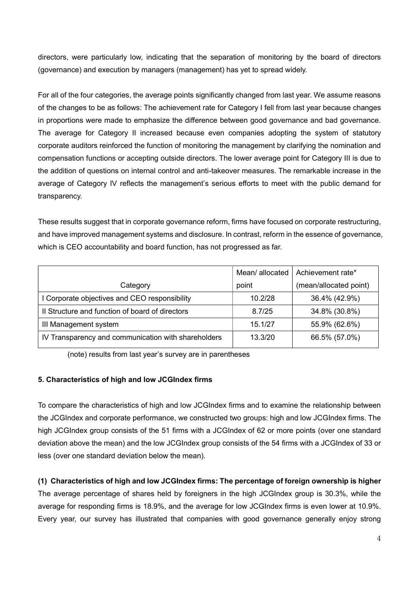directors, were particularly low, indicating that the separation of monitoring by the board of directors (governance) and execution by managers (management) has yet to spread widely.

For all of the four categories, the average points significantly changed from last year. We assume reasons of the changes to be as follows: The achievement rate for Category I fell from last year because changes in proportions were made to emphasize the difference between good governance and bad governance. The average for Category II increased because even companies adopting the system of statutory corporate auditors reinforced the function of monitoring the management by clarifying the nomination and compensation functions or accepting outside directors. The lower average point for Category III is due to the addition of questions on internal control and anti-takeover measures. The remarkable increase in the average of Category IV reflects the management's serious efforts to meet with the public demand for transparency.

These results suggest that in corporate governance reform, firms have focused on corporate restructuring, and have improved management systems and disclosure. In contrast, reform in the essence of governance, which is CEO accountability and board function, has not progressed as far.

|                                                     | Mean/ allocated | Achievement rate*      |
|-----------------------------------------------------|-----------------|------------------------|
| Category                                            | point           | (mean/allocated point) |
| I Corporate objectives and CEO responsibility       | 10.2/28         | 36.4% (42.9%)          |
| Il Structure and function of board of directors     | 8.7/25          | 34.8% (30.8%)          |
| III Management system                               | 15.1/27         | 55.9% (62.6%)          |
| IV Transparency and communication with shareholders | 13.3/20         | 66.5% (57.0%)          |

(note) results from last year's survey are in parentheses

## 5. Characteristics of high and low JCGIndex firms

To compare the characteristics of high and low JCGIndex firms and to examine the relationship between the JCGIndex and corporate performance, we constructed two groups: high and low JCGIndex firms. The high JCGIndex group consists of the 51 firms with a JCGIndex of 62 or more points (over one standard deviation above the mean) and the low JCGIndex group consists of the 54 firms with a JCGIndex of 33 or less (over one standard deviation below the mean).

(1) Characteristics of high and low JCGIndex firms: The percentage of foreign ownership is higher The average percentage of shares held by foreigners in the high JCGIndex group is 30.3%, while the average for responding firms is 18.9%, and the average for low JCGIndex firms is even lower at 10.9%. Every year, our survey has illustrated that companies with good governance generally enjoy strong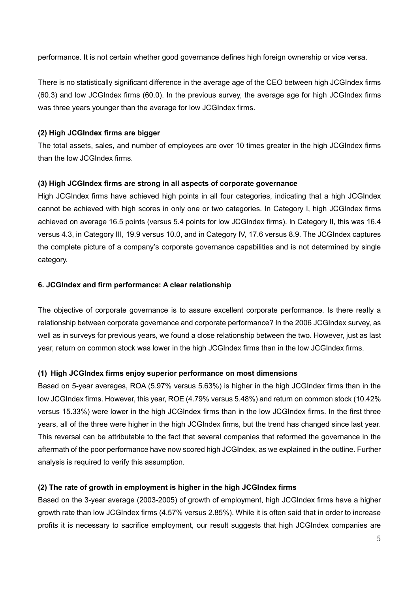performance. It is not certain whether good governance defines high foreign ownership or vice versa.

There is no statistically significant difference in the average age of the CEO between high JCGIndex firms (60.3) and low JCGIndex firms (60.0). In the previous survey, the average age for high JCGIndex firms was three years younger than the average for low JCGIndex firms.

#### (2) High JCGIndex firms are bigger

The total assets, sales, and number of employees are over 10 times greater in the high JCGIndex firms than the low JCGIndex firms.

#### (3) High JCGIndex firms are strong in all aspects of corporate governance

High JCGIndex firms have achieved high points in all four categories, indicating that a high JCGIndex cannot be achieved with high scores in only one or two categories. In Category I, high JCGIndex firms achieved on average 16.5 points (versus 5.4 points for low JCGIndex firms). In Category II, this was 16.4 versus 4.3, in Category III, 19.9 versus 10.0, and in Category IV, 17.6 versus 8.9. The JCGIndex captures the complete picture of a company's corporate governance capabilities and is not determined by single category.

#### 6. JCGIndex and firm performance: A clear relationship

The objective of corporate governance is to assure excellent corporate performance. Is there really a relationship between corporate governance and corporate performance? In the 2006 JCGIndex survey, as well as in surveys for previous years, we found a close relationship between the two. However, just as last year, return on common stock was lower in the high JCGIndex firms than in the low JCGIndex firms.

## (1) High JCGIndex firms enjoy superior performance on most dimensions

Based on 5-year averages, ROA (5.97% versus 5.63%) is higher in the high JCGIndex firms than in the low JCGIndex firms. However, this year, ROE (4.79% versus 5.48%) and return on common stock (10.42% versus 15.33%) were lower in the high JCGIndex firms than in the low JCGIndex firms. In the first three years, all of the three were higher in the high JCGIndex firms, but the trend has changed since last year. This reversal can be attributable to the fact that several companies that reformed the governance in the aftermath of the poor performance have now scored high JCGIndex, as we explained in the outline. Further analysis is required to verify this assumption.

## (2) The rate of growth in employment is higher in the high JCGIndex firms

Based on the 3-year average (2003-2005) of growth of employment, high JCGIndex firms have a higher growth rate than low JCGIndex firms (4.57% versus 2.85%). While it is often said that in order to increase profits it is necessary to sacrifice employment, our result suggests that high JCGIndex companies are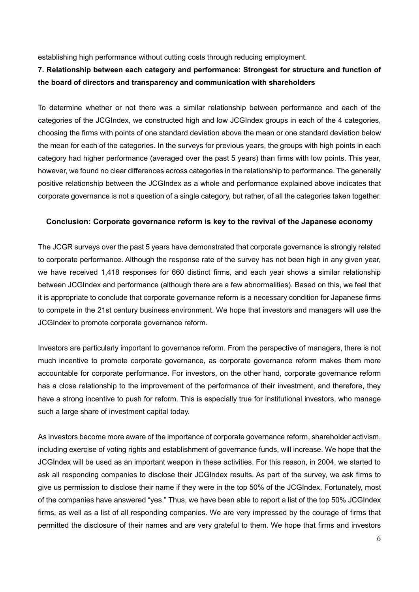establishing high performance without cutting costs through reducing employment.

# 7. Relationship between each category and performance: Strongest for structure and function of the board of directors and transparency and communication with shareholders

To determine whether or not there was a similar relationship between performance and each of the categories of the JCGIndex, we constructed high and low JCGIndex groups in each of the 4 categories, choosing the firms with points of one standard deviation above the mean or one standard deviation below the mean for each of the categories. In the surveys for previous years, the groups with high points in each category had higher performance (averaged over the past 5 years) than firms with low points. This year, however, we found no clear differences across categories in the relationship to performance. The generally positive relationship between the JCGIndex as a whole and performance explained above indicates that corporate governance is not a question of a single category, but rather, of all the categories taken together.

#### Conclusion: Corporate governance reform is key to the revival of the Japanese economy

The JCGR surveys over the past 5 years have demonstrated that corporate governance is strongly related to corporate performance. Although the response rate of the survey has not been high in any given year, we have received 1,418 responses for 660 distinct firms, and each year shows a similar relationship between JCGIndex and performance (although there are a few abnormalities). Based on this, we feel that it is appropriate to conclude that corporate governance reform is a necessary condition for Japanese firms to compete in the 21st century business environment. We hope that investors and managers will use the JCGIndex to promote corporate governance reform.

Investors are particularly important to governance reform. From the perspective of managers, there is not much incentive to promote corporate governance, as corporate governance reform makes them more accountable for corporate performance. For investors, on the other hand, corporate governance reform has a close relationship to the improvement of the performance of their investment, and therefore, they have a strong incentive to push for reform. This is especially true for institutional investors, who manage such a large share of investment capital today.

As investors become more aware of the importance of corporate governance reform, shareholder activism, including exercise of voting rights and establishment of governance funds, will increase. We hope that the JCGIndex will be used as an important weapon in these activities. For this reason, in 2004, we started to ask all responding companies to disclose their JCGIndex results. As part of the survey, we ask firms to give us permission to disclose their name if they were in the top 50% of the JCGIndex. Fortunately, most of the companies have answered "yes." Thus, we have been able to report a list of the top 50% JCGIndex firms, as well as a list of all responding companies. We are very impressed by the courage of firms that permitted the disclosure of their names and are very grateful to them. We hope that firms and investors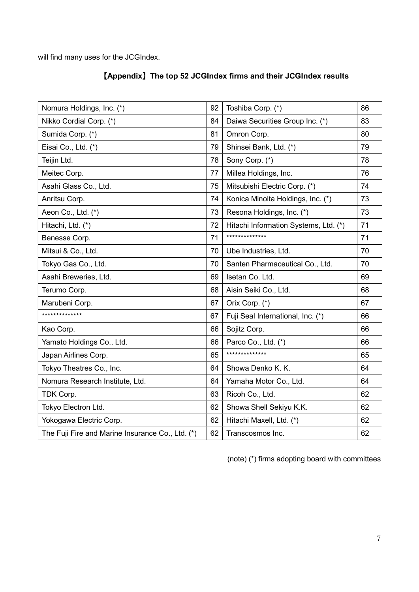will find many uses for the JCGIndex.

| Nomura Holdings, Inc. (*)                        | 92 | Toshiba Corp. (*)                     | 86 |
|--------------------------------------------------|----|---------------------------------------|----|
| Nikko Cordial Corp. (*)                          | 84 | Daiwa Securities Group Inc. (*)       | 83 |
| Sumida Corp. (*)                                 | 81 | Omron Corp.                           | 80 |
| Eisai Co., Ltd. (*)                              | 79 | Shinsei Bank, Ltd. (*)                | 79 |
| Teijin Ltd.                                      | 78 | Sony Corp. (*)                        | 78 |
| Meitec Corp.                                     | 77 | Millea Holdings, Inc.                 | 76 |
| Asahi Glass Co., Ltd.                            | 75 | Mitsubishi Electric Corp. (*)         | 74 |
| Anritsu Corp.                                    | 74 | Konica Minolta Holdings, Inc. (*)     | 73 |
| Aeon Co., Ltd. (*)                               | 73 | Resona Holdings, Inc. (*)             | 73 |
| Hitachi, Ltd. (*)                                | 72 | Hitachi Information Systems, Ltd. (*) | 71 |
| Benesse Corp.                                    | 71 | **************                        | 71 |
| Mitsui & Co., Ltd.                               | 70 | Ube Industries, Ltd.                  | 70 |
| Tokyo Gas Co., Ltd.                              | 70 | Santen Pharmaceutical Co., Ltd.       | 70 |
| Asahi Breweries, Ltd.                            | 69 | Isetan Co. Ltd.                       | 69 |
| Terumo Corp.                                     | 68 | Aisin Seiki Co., Ltd.                 | 68 |
| Marubeni Corp.                                   | 67 | Orix Corp. (*)                        | 67 |
| **************                                   | 67 | Fuji Seal International, Inc. (*)     | 66 |
| Kao Corp.                                        | 66 | Sojitz Corp.                          | 66 |
| Yamato Holdings Co., Ltd.                        | 66 | Parco Co., Ltd. (*)                   | 66 |
| Japan Airlines Corp.                             | 65 | **************                        | 65 |
| Tokyo Theatres Co., Inc.                         | 64 | Showa Denko K. K.                     | 64 |
| Nomura Research Institute, Ltd.                  | 64 | Yamaha Motor Co., Ltd.                | 64 |
| TDK Corp.                                        | 63 | Ricoh Co., Ltd.                       | 62 |
| Tokyo Electron Ltd.                              | 62 | Showa Shell Sekiyu K.K.               | 62 |
| Yokogawa Electric Corp.                          | 62 | Hitachi Maxell, Ltd. (*)              | 62 |
| The Fuji Fire and Marine Insurance Co., Ltd. (*) | 62 | Transcosmos Inc.                      | 62 |

# 【Appendix】The top 52 JCGIndex firms and their JCGIndex results

(note) (\*) firms adopting board with committees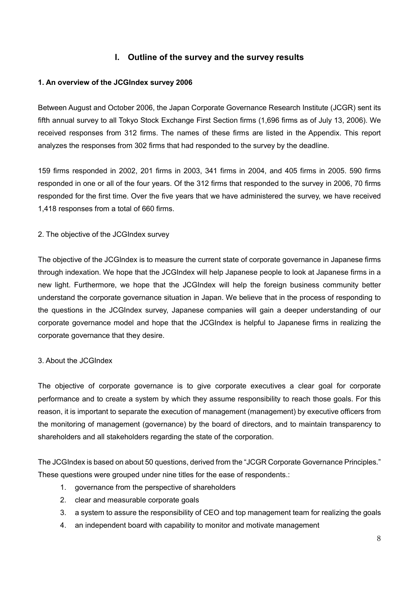# I. Outline of the survey and the survey results

## 1. An overview of the JCGIndex survey 2006

Between August and October 2006, the Japan Corporate Governance Research Institute (JCGR) sent its fifth annual survey to all Tokyo Stock Exchange First Section firms (1,696 firms as of July 13, 2006). We received responses from 312 firms. The names of these firms are listed in the Appendix. This report analyzes the responses from 302 firms that had responded to the survey by the deadline.

159 firms responded in 2002, 201 firms in 2003, 341 firms in 2004, and 405 firms in 2005. 590 firms responded in one or all of the four years. Of the 312 firms that responded to the survey in 2006, 70 firms responded for the first time. Over the five years that we have administered the survey, we have received 1,418 responses from a total of 660 firms.

#### 2. The objective of the JCGIndex survey

The objective of the JCGIndex is to measure the current state of corporate governance in Japanese firms through indexation. We hope that the JCGIndex will help Japanese people to look at Japanese firms in a new light. Furthermore, we hope that the JCGIndex will help the foreign business community better understand the corporate governance situation in Japan. We believe that in the process of responding to the questions in the JCGIndex survey, Japanese companies will gain a deeper understanding of our corporate governance model and hope that the JCGIndex is helpful to Japanese firms in realizing the corporate governance that they desire.

#### 3. About the JCGIndex

The objective of corporate governance is to give corporate executives a clear goal for corporate performance and to create a system by which they assume responsibility to reach those goals. For this reason, it is important to separate the execution of management (management) by executive officers from the monitoring of management (governance) by the board of directors, and to maintain transparency to shareholders and all stakeholders regarding the state of the corporation.

The JCGIndex is based on about 50 questions, derived from the "JCGR Corporate Governance Principles." These questions were grouped under nine titles for the ease of respondents.:

- 1. governance from the perspective of shareholders
- 2. clear and measurable corporate goals
- 3. a system to assure the responsibility of CEO and top management team for realizing the goals
- 4. an independent board with capability to monitor and motivate management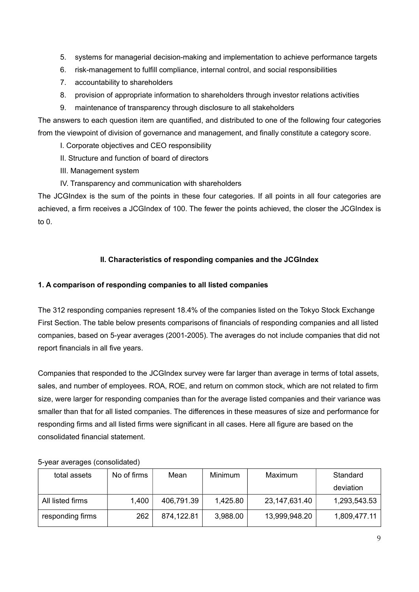- 5. systems for managerial decision-making and implementation to achieve performance targets
- 6. risk-management to fulfill compliance, internal control, and social responsibilities
- 7. accountability to shareholders
- 8. provision of appropriate information to shareholders through investor relations activities
- 9. maintenance of transparency through disclosure to all stakeholders

The answers to each question item are quantified, and distributed to one of the following four categories from the viewpoint of division of governance and management, and finally constitute a category score.

- I. Corporate objectives and CEO responsibility
- II. Structure and function of board of directors
- III. Management system
- IV. Transparency and communication with shareholders

The JCGIndex is the sum of the points in these four categories. If all points in all four categories are achieved, a firm receives a JCGIndex of 100. The fewer the points achieved, the closer the JCGIndex is to  $0$ .

## II. Characteristics of responding companies and the JCGIndex

## 1. A comparison of responding companies to all listed companies

The 312 responding companies represent 18.4% of the companies listed on the Tokyo Stock Exchange First Section. The table below presents comparisons of financials of responding companies and all listed companies, based on 5-year averages (2001-2005). The averages do not include companies that did not report financials in all five years.

Companies that responded to the JCGIndex survey were far larger than average in terms of total assets, sales, and number of employees. ROA, ROE, and return on common stock, which are not related to firm size, were larger for responding companies than for the average listed companies and their variance was smaller than that for all listed companies. The differences in these measures of size and performance for responding firms and all listed firms were significant in all cases. Here all figure are based on the consolidated financial statement.

| total assets     | No of firms | Mean       | <b>Minimum</b> | Maximum       | Standard     |
|------------------|-------------|------------|----------------|---------------|--------------|
|                  |             |            |                |               | deviation    |
| All listed firms | 1,400       | 406,791.39 | 1,425.80       | 23,147,631.40 | 1,293,543.53 |
| responding firms | 262         | 874,122.81 | 3,988.00       | 13,999,948.20 | 1,809,477.11 |

5-year averages (consolidated)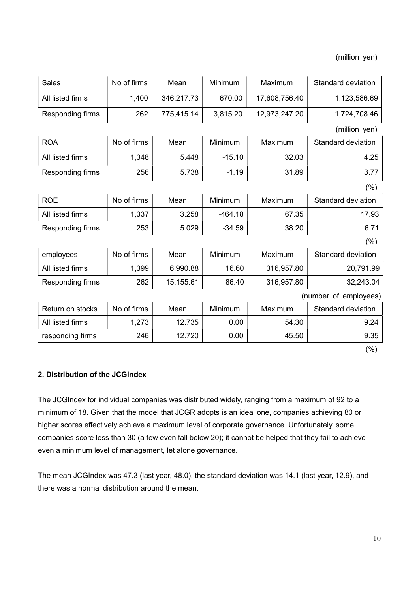(million yen)

| Sales                 | No of firms | Mean       | Minimum   | Maximum       | Standard deviation |
|-----------------------|-------------|------------|-----------|---------------|--------------------|
| All listed firms      | 1,400       | 346,217.73 | 670.00    | 17,608,756.40 | 1,123,586.69       |
| Responding firms      | 262         | 775,415.14 | 3,815.20  | 12,973,247.20 | 1,724,708.46       |
|                       |             |            |           |               | (million yen)      |
| <b>ROA</b>            | No of firms | Mean       | Minimum   | Maximum       | Standard deviation |
| All listed firms      | 1,348       | 5.448      | $-15.10$  | 32.03         | 4.25               |
| Responding firms      | 256         | 5.738      | $-1.19$   | 31.89         | 3.77               |
|                       |             |            |           |               | (%)                |
| <b>ROE</b>            | No of firms | Mean       | Minimum   | Maximum       | Standard deviation |
| All listed firms      | 1,337       | 3.258      | $-464.18$ | 67.35         | 17.93              |
| Responding firms      | 253         | 5.029      | $-34.59$  | 38.20         | 6.71               |
|                       |             |            |           |               | (%)                |
| employees             | No of firms | Mean       | Minimum   | Maximum       | Standard deviation |
| All listed firms      | 1,399       | 6,990.88   | 16.60     | 316,957.80    | 20,791.99          |
| Responding firms      | 262         | 15,155.61  | 86.40     | 316,957.80    | 32,243.04          |
| (number of employees) |             |            |           |               |                    |
| Return on stocks      | No of firms | Mean       | Minimum   | Maximum       | Standard deviation |
| All listed firms      | 1,273       | 12.735     | 0.00      | 54.30         | 9.24               |

(%)

## 2. Distribution of the JCGIndex

The JCGIndex for individual companies was distributed widely, ranging from a maximum of 92 to a minimum of 18. Given that the model that JCGR adopts is an ideal one, companies achieving 80 or higher scores effectively achieve a maximum level of corporate governance. Unfortunately, some companies score less than 30 (a few even fall below 20); it cannot be helped that they fail to achieve even a minimum level of management, let alone governance.

responding firms | 246 | 12.720 | 0.00 | 45.50 | 9.35

The mean JCGIndex was 47.3 (last year, 48.0), the standard deviation was 14.1 (last year, 12.9), and there was a normal distribution around the mean.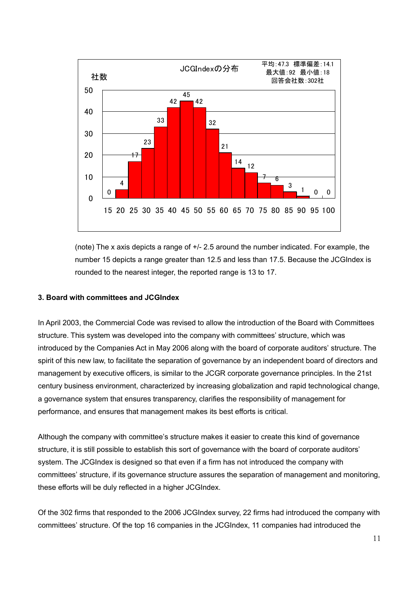

(note) The x axis depicts a range of +/- 2.5 around the number indicated. For example, the number 15 depicts a range greater than 12.5 and less than 17.5. Because the JCGIndex is rounded to the nearest integer, the reported range is 13 to 17.

#### 3. Board with committees and JCGIndex

In April 2003, the Commercial Code was revised to allow the introduction of the Board with Committees structure. This system was developed into the company with committees' structure, which was introduced by the Companies Act in May 2006 along with the board of corporate auditors' structure. The spirit of this new law, to facilitate the separation of governance by an independent board of directors and management by executive officers, is similar to the JCGR corporate governance principles. In the 21st century business environment, characterized by increasing globalization and rapid technological change, a governance system that ensures transparency, clarifies the responsibility of management for performance, and ensures that management makes its best efforts is critical.

Although the company with committee's structure makes it easier to create this kind of governance structure, it is still possible to establish this sort of governance with the board of corporate auditors' system. The JCGIndex is designed so that even if a firm has not introduced the company with committees' structure, if its governance structure assures the separation of management and monitoring, these efforts will be duly reflected in a higher JCGIndex.

Of the 302 firms that responded to the 2006 JCGIndex survey, 22 firms had introduced the company with committees' structure. Of the top 16 companies in the JCGIndex, 11 companies had introduced the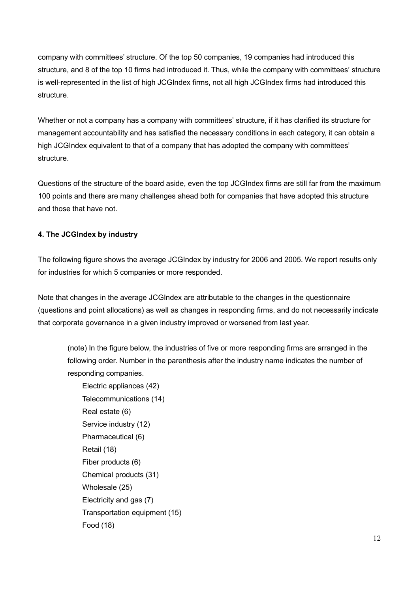company with committees' structure. Of the top 50 companies, 19 companies had introduced this structure, and 8 of the top 10 firms had introduced it. Thus, while the company with committees' structure is well-represented in the list of high JCGIndex firms, not all high JCGIndex firms had introduced this structure.

Whether or not a company has a company with committees' structure, if it has clarified its structure for management accountability and has satisfied the necessary conditions in each category, it can obtain a high JCGIndex equivalent to that of a company that has adopted the company with committees' structure.

Questions of the structure of the board aside, even the top JCGIndex firms are still far from the maximum 100 points and there are many challenges ahead both for companies that have adopted this structure and those that have not.

## 4. The JCGIndex by industry

The following figure shows the average JCGIndex by industry for 2006 and 2005. We report results only for industries for which 5 companies or more responded.

Note that changes in the average JCGIndex are attributable to the changes in the questionnaire (questions and point allocations) as well as changes in responding firms, and do not necessarily indicate that corporate governance in a given industry improved or worsened from last year.

(note) In the figure below, the industries of five or more responding firms are arranged in the following order. Number in the parenthesis after the industry name indicates the number of responding companies.

Electric appliances (42) Telecommunications (14) Real estate (6) Service industry (12) Pharmaceutical (6) Retail (18) Fiber products (6) Chemical products (31) Wholesale (25) Electricity and gas (7) Transportation equipment (15) Food (18)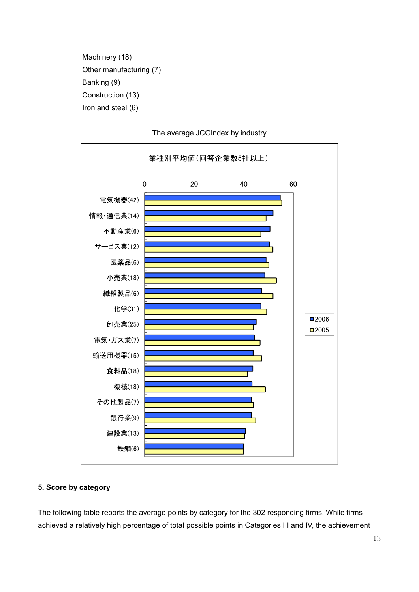Machinery (18) Other manufacturing (7) Banking (9) Construction (13) Iron and steel (6)



The average JCGIndex by industry

#### 5. Score by category

The following table reports the average points by category for the 302 responding firms. While firms achieved a relatively high percentage of total possible points in Categories III and IV, the achievement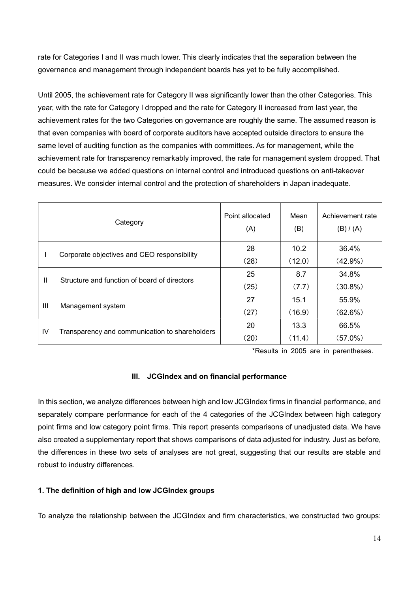rate for Categories I and II was much lower. This clearly indicates that the separation between the governance and management through independent boards has yet to be fully accomplished.

Until 2005, the achievement rate for Category II was significantly lower than the other Categories. This year, with the rate for Category I dropped and the rate for Category II increased from last year, the achievement rates for the two Categories on governance are roughly the same. The assumed reason is that even companies with board of corporate auditors have accepted outside directors to ensure the same level of auditing function as the companies with committees. As for management, while the achievement rate for transparency remarkably improved, the rate for management system dropped. That could be because we added questions on internal control and introduced questions on anti-takeover measures. We consider internal control and the protection of shareholders in Japan inadequate.

|                                                      | Category                                     | Point allocated<br>(A) | Mean<br>(B) | Achievement rate<br>(B) / (A) |
|------------------------------------------------------|----------------------------------------------|------------------------|-------------|-------------------------------|
|                                                      |                                              | 28                     | 10.2        | 36.4%                         |
|                                                      | Corporate objectives and CEO responsibility  | (28)                   | (12.0)      | $(42.9\%)$                    |
| $\mathbf{H}$                                         | Structure and function of board of directors | 25                     | 8.7         | 34.8%                         |
|                                                      |                                              | (25)                   | (7.7)       | $(30.8\%)$                    |
|                                                      |                                              | 27                     | 15.1        | 55.9%                         |
| $\mathbf{III}$<br>Management system                  | (27)                                         | (16.9)                 | (62.6%)     |                               |
| IV<br>Transparency and communication to shareholders |                                              | 20                     | 13.3        | 66.5%                         |
|                                                      | (20)                                         | (11.4)                 | $(57.0\%)$  |                               |

\*Results in 2005 are in parentheses.

## III. JCGIndex and on financial performance

In this section, we analyze differences between high and low JCGIndex firms in financial performance, and separately compare performance for each of the 4 categories of the JCGIndex between high category point firms and low category point firms. This report presents comparisons of unadjusted data. We have also created a supplementary report that shows comparisons of data adjusted for industry. Just as before, the differences in these two sets of analyses are not great, suggesting that our results are stable and robust to industry differences.

## 1. The definition of high and low JCGIndex groups

To analyze the relationship between the JCGIndex and firm characteristics, we constructed two groups: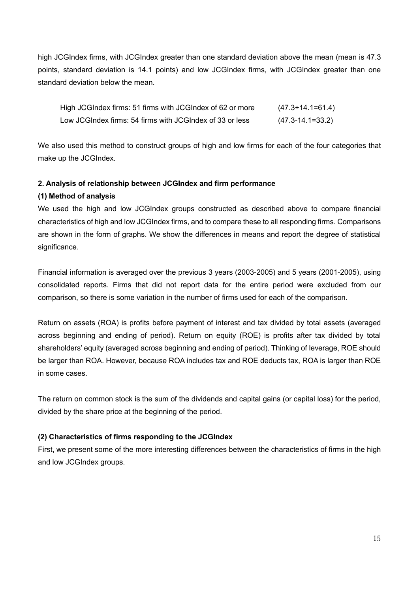high JCGIndex firms, with JCGIndex greater than one standard deviation above the mean (mean is 47.3 points, standard deviation is 14.1 points) and low JCGIndex firms, with JCGIndex greater than one standard deviation below the mean.

| High JCGIndex firms: 51 firms with JCGIndex of 62 or more | (47.3+14.1=61.4) |
|-----------------------------------------------------------|------------------|
| Low JCGIndex firms: 54 firms with JCGIndex of 33 or less_ | (47.3-14.1=33.2) |

We also used this method to construct groups of high and low firms for each of the four categories that make up the JCGIndex.

## 2. Analysis of relationship between JCGIndex and firm performance

#### (1) Method of analysis

We used the high and low JCGIndex groups constructed as described above to compare financial characteristics of high and low JCGIndex firms, and to compare these to all responding firms. Comparisons are shown in the form of graphs. We show the differences in means and report the degree of statistical significance.

Financial information is averaged over the previous 3 years (2003-2005) and 5 years (2001-2005), using consolidated reports. Firms that did not report data for the entire period were excluded from our comparison, so there is some variation in the number of firms used for each of the comparison.

Return on assets (ROA) is profits before payment of interest and tax divided by total assets (averaged across beginning and ending of period). Return on equity (ROE) is profits after tax divided by total shareholders' equity (averaged across beginning and ending of period). Thinking of leverage, ROE should be larger than ROA. However, because ROA includes tax and ROE deducts tax, ROA is larger than ROE in some cases.

The return on common stock is the sum of the dividends and capital gains (or capital loss) for the period, divided by the share price at the beginning of the period.

## (2) Characteristics of firms responding to the JCGIndex

First, we present some of the more interesting differences between the characteristics of firms in the high and low JCGIndex groups.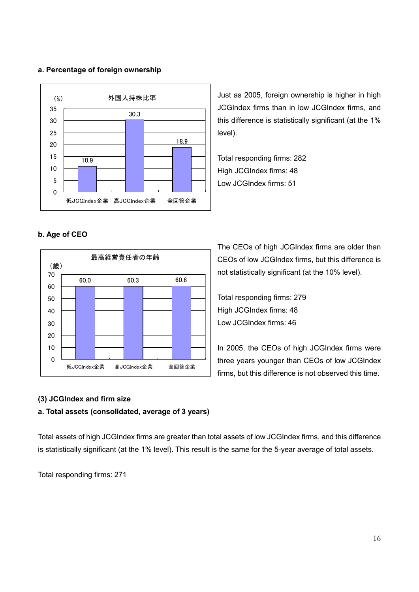#### a. Percentage of foreign ownership



b. Age of CEO



Just as 2005, foreign ownership is higher in high JCGIndex firms than in low JCGIndex firms, and this difference is statistically significant (at the 1% level).

Total responding firms: 282 High JCGIndex firms: 48 Low JCGIndex firms: 51

The CEOs of high JCGIndex firms are older than CEOs of low JCGIndex firms, but this difference is not statistically significant (at the 10% level).

Total responding firms: 279 High JCGIndex firms: 48 Low JCGIndex firms: 46

In 2005, the CEOs of high JCGIndex firms were three years younger than CEOs of low JCGIndex firms, but this difference is not observed this time.

## (3) JCGIndex and firm size

## a. Total assets (consolidated, average of 3 years)

Total assets of high JCGIndex firms are greater than total assets of low JCGIndex firms, and this difference is statistically significant (at the 1% level). This result is the same for the 5-year average of total assets.

Total responding firms: 271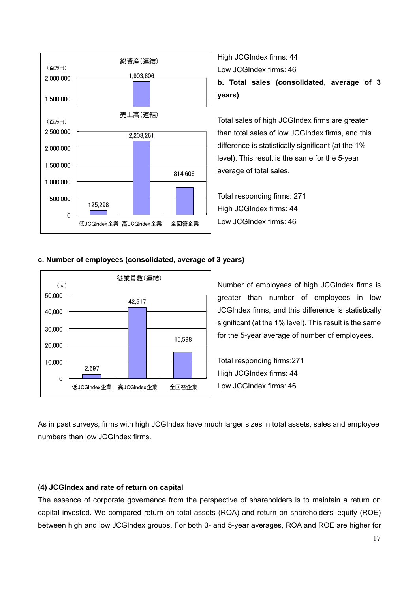

High JCGIndex firms: 44 Low JCGIndex firms: 46 b. Total sales (consolidated, average of 3 years)

Total sales of high JCGIndex firms are greater than total sales of low JCGIndex firms, and this difference is statistically significant (at the 1% level). This result is the same for the 5-year average of total sales.

Total responding firms: 271 High JCGIndex firms: 44 Low JCGIndex firms: 46

#### c. Number of employees (consolidated, average of 3 years)



Number of employees of high JCGIndex firms is greater than number of employees in low JCGIndex firms, and this difference is statistically significant (at the 1% level). This result is the same for the 5-year average of number of employees.

Total responding firms:271 High JCGIndex firms: 44 Low JCGIndex firms: 46

As in past surveys, firms with high JCGIndex have much larger sizes in total assets, sales and employee numbers than low JCGIndex firms.

#### (4) JCGIndex and rate of return on capital

The essence of corporate governance from the perspective of shareholders is to maintain a return on capital invested. We compared return on total assets (ROA) and return on shareholders' equity (ROE) between high and low JCGIndex groups. For both 3- and 5-year averages, ROA and ROE are higher for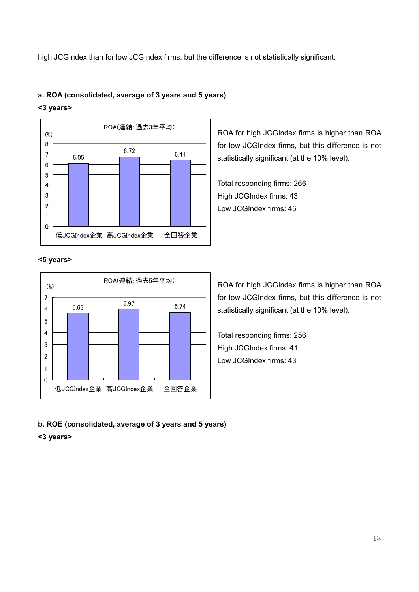high JCGIndex than for low JCGIndex firms, but the difference is not statistically significant.

## a. ROA (consolidated, average of 3 years and 5 years)

## <3 years>



ROA for high JCGIndex firms is higher than ROA for low JCGIndex firms, but this difference is not statistically significant (at the 10% level).

Total responding firms: 266 High JCGIndex firms: 43 Low JCGIndex firms: 45

#### <5 years>



ROA for high JCGIndex firms is higher than ROA for low JCGIndex firms, but this difference is not statistically significant (at the 10% level).

Total responding firms: 256 High JCGIndex firms: 41 Low JCGIndex firms: 43

b. ROE (consolidated, average of 3 years and 5 years)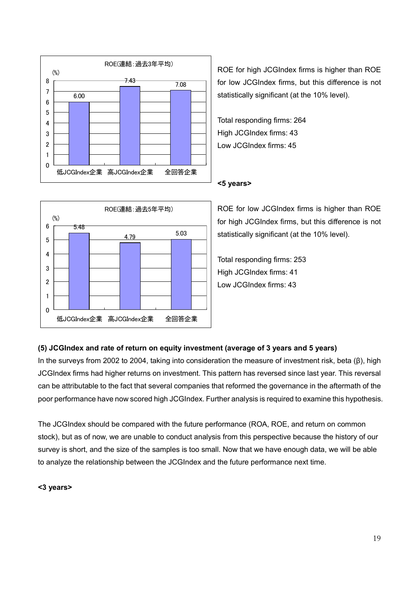



ROE for high JCGIndex firms is higher than ROE for low JCGIndex firms, but this difference is not statistically significant (at the 10% level).

Total responding firms: 264 High JCGIndex firms: 43 Low JCGIndex firms: 45

## <5 years>

ROE for low JCGIndex firms is higher than ROE for high JCGIndex firms, but this difference is not statistically significant (at the 10% level).

Total responding firms: 253 High JCGIndex firms: 41 Low JCGIndex firms: 43

# (5) JCGIndex and rate of return on equity investment (average of 3 years and 5 years)

In the surveys from 2002 to 2004, taking into consideration the measure of investment risk, beta (β), high JCGIndex firms had higher returns on investment. This pattern has reversed since last year. This reversal can be attributable to the fact that several companies that reformed the governance in the aftermath of the poor performance have now scored high JCGIndex. Further analysis is required to examine this hypothesis.

The JCGIndex should be compared with the future performance (ROA, ROE, and return on common stock), but as of now, we are unable to conduct analysis from this perspective because the history of our survey is short, and the size of the samples is too small. Now that we have enough data, we will be able to analyze the relationship between the JCGIndex and the future performance next time.

## <3 years>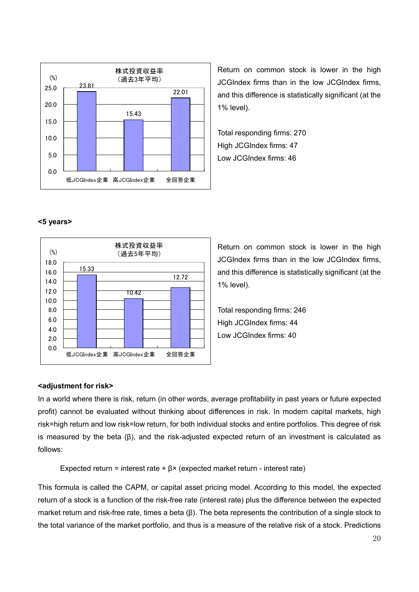

Return on common stock is lower in the high JCGIndex firms than in the low JCGIndex firms, and this difference is statistically significant (at the 1% level).

Total responding firms: 270 High JCGIndex firms: 47 Low JCGIndex firms: 46

#### <5 years>



Return on common stock is lower in the high JCGIndex firms than in the low JCGIndex firms, and this difference is statistically significant (at the 1% level).

Total responding firms: 246 High JCGIndex firms: 44 Low JCGIndex firms: 40

#### <adjustment for risk>

In a world where there is risk, return (in other words, average profitability in past years or future expected profit) cannot be evaluated without thinking about differences in risk. In modern capital markets, high risk=high return and low risk=low return, for both individual stocks and entire portfolios. This degree of risk is measured by the beta (β), and the risk-adjusted expected return of an investment is calculated as follows:

Expected return = interest rate +  $\beta$ × (expected market return - interest rate)

This formula is called the CAPM, or capital asset pricing model. According to this model, the expected return of a stock is a function of the risk-free rate (interest rate) plus the difference between the expected market return and risk-free rate, times a beta (β). The beta represents the contribution of a single stock to the total variance of the market portfolio, and thus is a measure of the relative risk of a stock. Predictions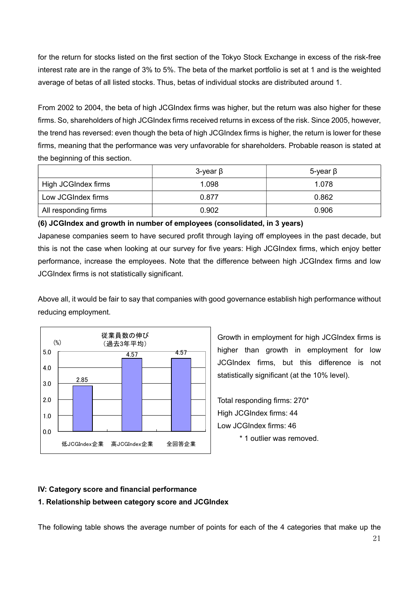for the return for stocks listed on the first section of the Tokyo Stock Exchange in excess of the risk-free interest rate are in the range of 3% to 5%. The beta of the market portfolio is set at 1 and is the weighted average of betas of all listed stocks. Thus, betas of individual stocks are distributed around 1.

From 2002 to 2004, the beta of high JCGIndex firms was higher, but the return was also higher for these firms. So, shareholders of high JCGIndex firms received returns in excess of the risk. Since 2005, however, the trend has reversed: even though the beta of high JCGIndex firms is higher, the return is lower for these firms, meaning that the performance was very unfavorable for shareholders. Probable reason is stated at the beginning of this section.

|                      | $3$ -year $\beta$ | 5-γear β |
|----------------------|-------------------|----------|
| High JCGIndex firms  | 1.098             | 1.078    |
| Low JCGIndex firms   | 0.877             | 0.862    |
| All responding firms | 0.902             | 0.906    |

(6) JCGIndex and growth in number of employees (consolidated, in 3 years)

Japanese companies seem to have secured profit through laying off employees in the past decade, but this is not the case when looking at our survey for five years: High JCGIndex firms, which enjoy better performance, increase the employees. Note that the difference between high JCGIndex firms and low JCGIndex firms is not statistically significant.

Above all, it would be fair to say that companies with good governance establish high performance without reducing employment.



Growth in employment for high JCGIndex firms is higher than growth in employment for low JCGIndex firms, but this difference is not statistically significant (at the 10% level).

Total responding firms: 270\* High JCGIndex firms: 44 Low JCGIndex firms: 46

\* 1 outlier was removed.

## IV: Category score and financial performance

## 1. Relationship between category score and JCGIndex

The following table shows the average number of points for each of the 4 categories that make up the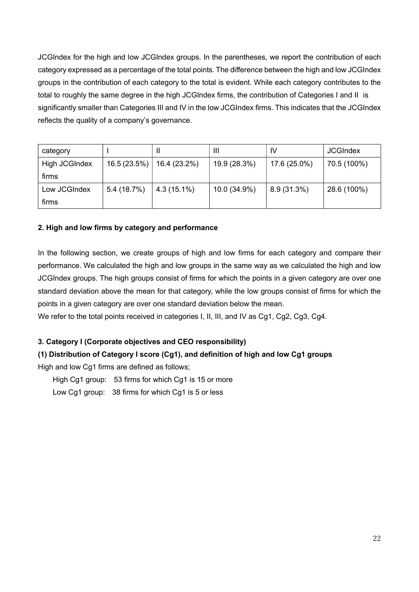JCGIndex for the high and low JCGIndex groups. In the parentheses, we report the contribution of each category expressed as a percentage of the total points. The difference between the high and low JCGIndex groups in the contribution of each category to the total is evident. While each category contributes to the total to roughly the same degree in the high JCGIndex firms, the contribution of Categories I and II is significantly smaller than Categories III and IV in the low JCGIndex firms. This indicates that the JCGIndex reflects the quality of a company's governance.

| category             |             |               | Ш            | ΙV            | <b>JCGIndex</b> |
|----------------------|-------------|---------------|--------------|---------------|-----------------|
| <b>High JCGIndex</b> | 16.5(23.5%) | 16.4 (23.2%)  | 19.9 (28.3%) | 17.6 (25.0%)  | 70.5 (100%)     |
| firms                |             |               |              |               |                 |
| Low JCGIndex         | 5.4(18.7%)  | $4.3(15.1\%)$ | 10.0 (34.9%) | $8.9(31.3\%)$ | 28.6 (100%)     |
| firms                |             |               |              |               |                 |

## 2. High and low firms by category and performance

In the following section, we create groups of high and low firms for each category and compare their performance. We calculated the high and low groups in the same way as we calculated the high and low JCGIndex groups. The high groups consist of firms for which the points in a given category are over one standard deviation above the mean for that category, while the low groups consist of firms for which the points in a given category are over one standard deviation below the mean.

We refer to the total points received in categories I, II, III, and IV as Cg1, Cg2, Cg3, Cg4.

## 3. Category I (Corporate objectives and CEO responsibility)

## (1) Distribution of Category I score (Cg1), and definition of high and low Cg1 groups

High and low Cg1 firms are defined as follows;

High Cg1 group: 53 firms for which Cg1 is 15 or more Low Cg1 group: 38 firms for which Cg1 is 5 or less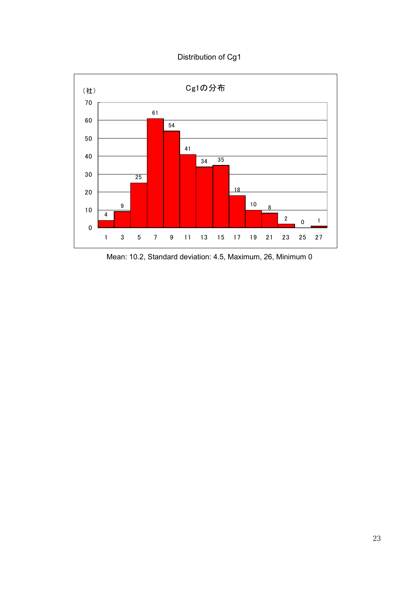Distribution of Cg1



Mean: 10.2, Standard deviation: 4.5, Maximum, 26, Minimum 0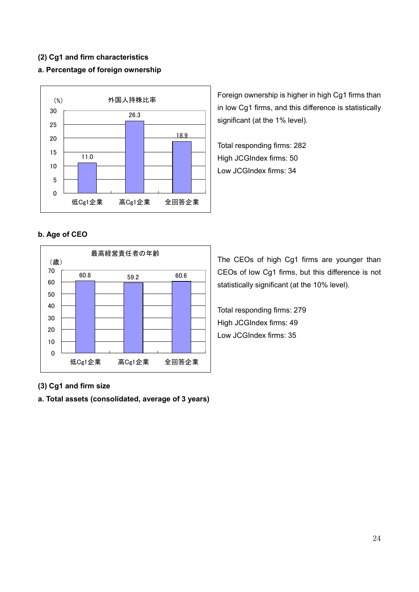## (2) Cg1 and firm characteristics

## a. Percentage of foreign ownership



Foreign ownership is higher in high Cg1 firms than in low Cg1 firms, and this difference is statistically significant (at the 1% level).

Total responding firms: 282 High JCGIndex firms: 50 Low JCGIndex firms: 34

#### b. Age of CEO



(3) Cg1 and firm size

a. Total assets (consolidated, average of 3 years)

The CEOs of high Cg1 firms are younger than CEOs of low Cg1 firms, but this difference is not statistically significant (at the 10% level).

Total responding firms: 279 High JCGIndex firms: 49 Low JCGIndex firms: 35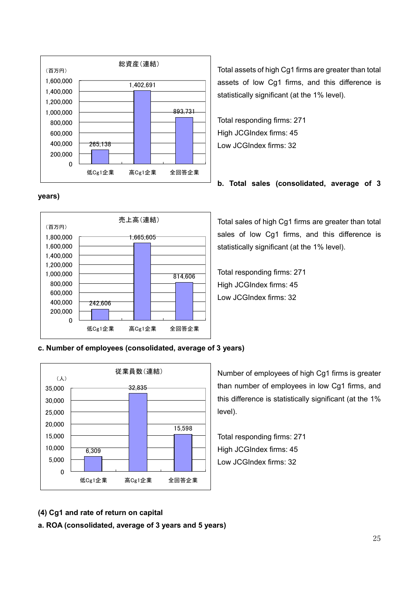

#### years)



Total assets of high Cg1 firms are greater than total assets of low Cg1 firms, and this difference is statistically significant (at the 1% level).

Total responding firms: 271 High JCGIndex firms: 45 Low JCGIndex firms: 32

## b. Total sales (consolidated, average of 3

Total sales of high Cg1 firms are greater than total sales of low Cg1 firms, and this difference is statistically significant (at the 1% level).

Total responding firms: 271 High JCGIndex firms: 45 Low JCGIndex firms: 32

c. Number of employees (consolidated, average of 3 years)



Number of employees of high Cg1 firms is greater than number of employees in low Cg1 firms, and this difference is statistically significant (at the 1% level).

Total responding firms: 271 High JCGIndex firms: 45 Low JCGIndex firms: 32

## (4) Cg1 and rate of return on capital

a. ROA (consolidated, average of 3 years and 5 years)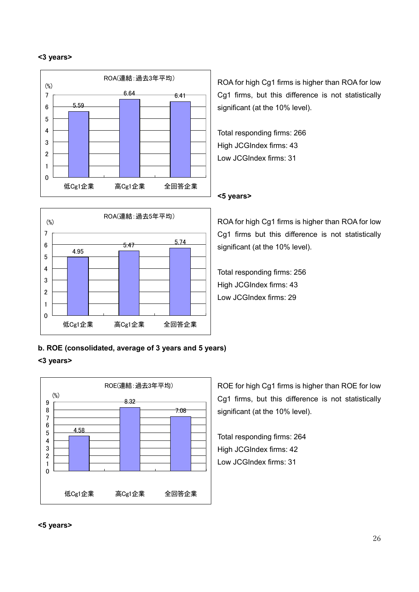#### <3 years>





ROA for high Cg1 firms is higher than ROA for low Cg1 firms, but this difference is not statistically significant (at the 10% level).

Total responding firms: 266 High JCGIndex firms: 43 Low JCGIndex firms: 31

#### <5 years>

ROA for high Cg1 firms is higher than ROA for low Cg1 firms but this difference is not statistically significant (at the 10% level).

Total responding firms: 256 High JCGIndex firms: 43 Low JCGIndex firms: 29

b. ROE (consolidated, average of 3 years and 5 years)

## <3 years>



ROE for high Cg1 firms is higher than ROE for low Cg1 firms, but this difference is not statistically significant (at the 10% level).

Total responding firms: 264 High JCGIndex firms: 42 Low JCGIndex firms: 31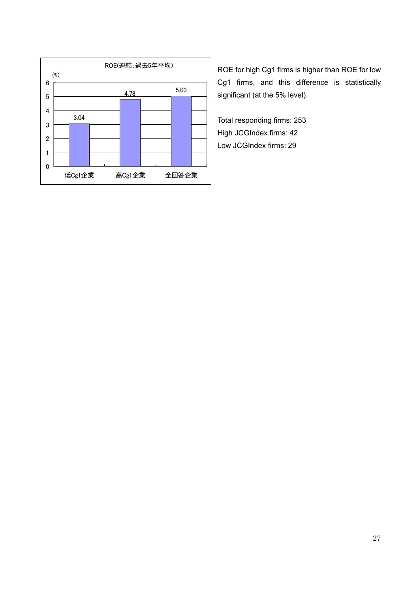

ROE for high Cg1 firms is higher than ROE for low Cg1 firms, and this difference is statistically significant (at the 5% level).

Total responding firms: 253 High JCGIndex firms: 42 Low JCGIndex firms: 29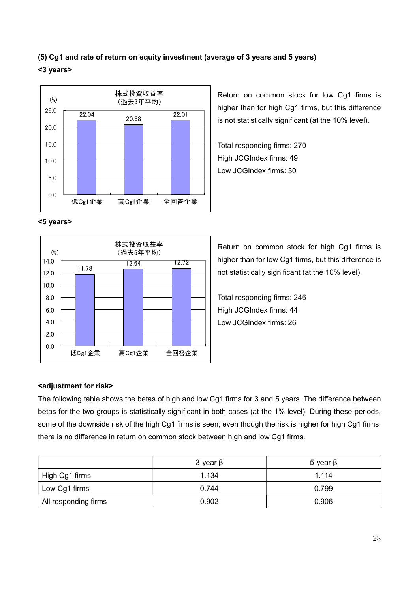# (5) Cg1 and rate of return on equity investment (average of 3 years and 5 years) <3 years>



<5 years>



Return on common stock for low Cg1 firms is higher than for high Cg1 firms, but this difference is not statistically significant (at the 10% level).

Total responding firms: 270 High JCGIndex firms: 49 Low JCGIndex firms: 30

Return on common stock for high Cg1 firms is higher than for low Cg1 firms, but this difference is not statistically significant (at the 10% level).

Total responding firms: 246 High JCGIndex firms: 44 Low JCGIndex firms: 26

## <adjustment for risk>

The following table shows the betas of high and low Cg1 firms for 3 and 5 years. The difference between betas for the two groups is statistically significant in both cases (at the 1% level). During these periods, some of the downside risk of the high Cg1 firms is seen; even though the risk is higher for high Cg1 firms, there is no difference in return on common stock between high and low Cg1 firms.

|                      | $3$ -year $\beta$ | $5$ -year $\beta$ |
|----------------------|-------------------|-------------------|
| High Cg1 firms       | 1.134             | 1.114             |
| Low Cg1 firms        | 0.744             | 0.799             |
| All responding firms | 0.902             | 0.906             |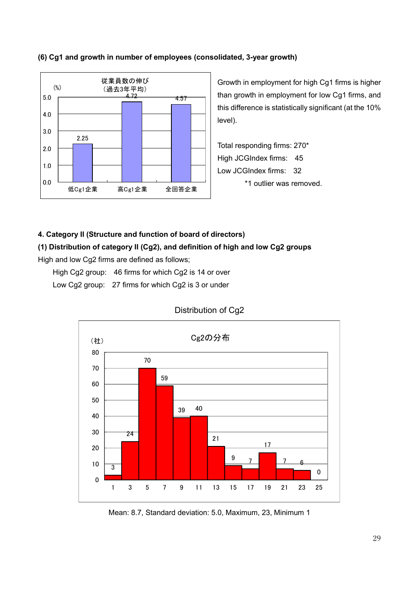## (6) Cg1 and growth in number of employees (consolidated, 3-year growth)



Growth in employment for high Cg1 firms is higher than growth in employment for low Cg1 firms, and this difference is statistically significant (at the 10% level).

Total responding firms: 270\* High JCGIndex firms: 45 Low JCGIndex firms: 32 \*1 outlier was removed.

#### 4. Category II (Structure and function of board of directors)

#### (1) Distribution of category II (Cg2), and definition of high and low Cg2 groups

High and low Cg2 firms are defined as follows;

High Cg2 group: 46 firms for which Cg2 is 14 or over Low Cg2 group: 27 firms for which Cg2 is 3 or under



#### Distribution of Cg2

Mean: 8.7, Standard deviation: 5.0, Maximum, 23, Minimum 1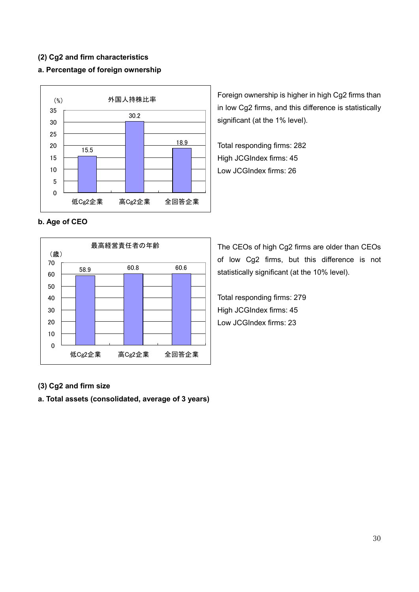## (2) Cg2 and firm characteristics

## a. Percentage of foreign ownership



Foreign ownership is higher in high Cg2 firms than in low Cg2 firms, and this difference is statistically significant (at the 1% level).

Total responding firms: 282 High JCGIndex firms: 45 Low JCGIndex firms: 26

## b. Age of CEO



The CEOs of high Cg2 firms are older than CEOs of low Cg2 firms, but this difference is not statistically significant (at the 10% level).

Total responding firms: 279 High JCGIndex firms: 45 Low JCGIndex firms: 23

#### (3) Cg2 and firm size

a. Total assets (consolidated, average of 3 years)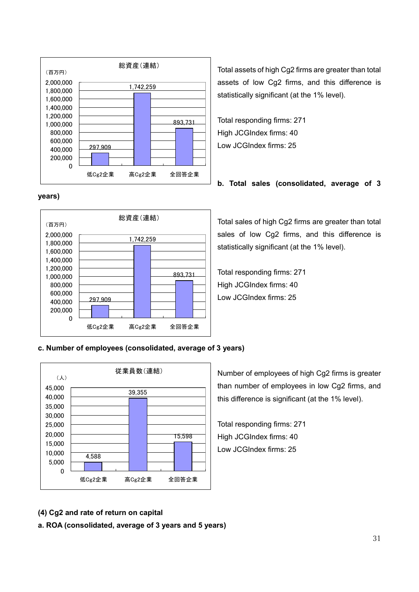





Total assets of high Cg2 firms are greater than total assets of low Cg2 firms, and this difference is statistically significant (at the 1% level).

Total responding firms: 271 High JCGIndex firms: 40 Low JCGIndex firms: 25

## b. Total sales (consolidated, average of 3

Total sales of high Cg2 firms are greater than total sales of low Cg2 firms, and this difference is statistically significant (at the 1% level).

Total responding firms: 271 High JCGIndex firms: 40 Low JCGIndex firms: 25

c. Number of employees (consolidated, average of 3 years)



Number of employees of high Cg2 firms is greater than number of employees in low Cg2 firms, and this difference is significant (at the 1% level).

Total responding firms: 271 High JCGIndex firms: 40 Low JCGIndex firms: 25

## (4) Cg2 and rate of return on capital

a. ROA (consolidated, average of 3 years and 5 years)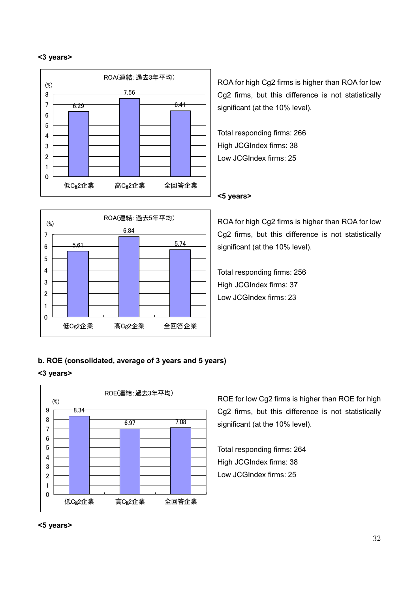#### <3 years>





ROA for high Cg2 firms is higher than ROA for low Cg2 firms, but this difference is not statistically significant (at the 10% level).

Total responding firms: 266 High JCGIndex firms: 38 Low JCGIndex firms: 25

#### <5 years>

ROA for high Cg2 firms is higher than ROA for low Cg2 firms, but this difference is not statistically significant (at the 10% level).

Total responding firms: 256 High JCGIndex firms: 37 Low JCGIndex firms: 23

## b. ROE (consolidated, average of 3 years and 5 years)

#### <3 years>



ROE for low Cg2 firms is higher than ROE for high Cg2 firms, but this difference is not statistically significant (at the 10% level).

Total responding firms: 264 High JCGIndex firms: 38 Low JCGIndex firms: 25

#### <5 years>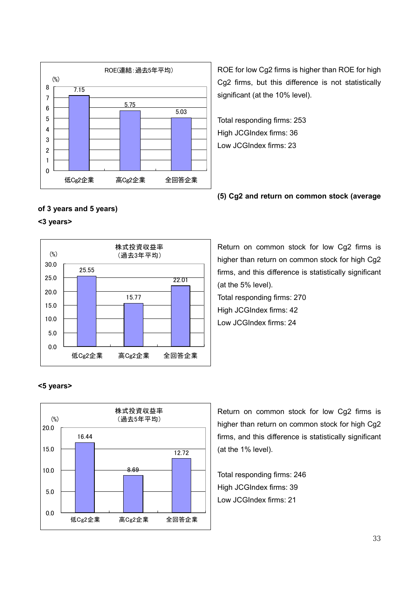

ROE for low Cg2 firms is higher than ROE for high Cg2 firms, but this difference is not statistically significant (at the 10% level).

Total responding firms: 253 High JCGIndex firms: 36 Low JCGIndex firms: 23

#### (5) Cg2 and return on common stock (average

#### of 3 years and 5 years)

#### <3 years>



Return on common stock for low Cg2 firms is higher than return on common stock for high Cg2 firms, and this difference is statistically significant (at the 5% level). Total responding firms: 270 High JCGIndex firms: 42 Low JCGIndex firms: 24

#### <5 years>



Return on common stock for low Cg2 firms is higher than return on common stock for high Cg2 firms, and this difference is statistically significant (at the 1% level).

Total responding firms: 246 High JCGIndex firms: 39 Low JCGIndex firms: 21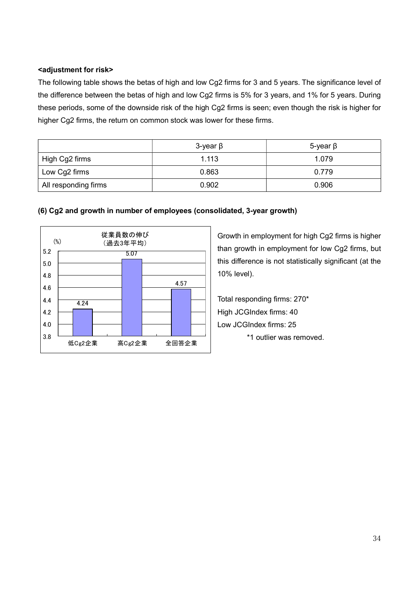## <adjustment for risk>

The following table shows the betas of high and low Cg2 firms for 3 and 5 years. The significance level of the difference between the betas of high and low Cg2 firms is 5% for 3 years, and 1% for 5 years. During these periods, some of the downside risk of the high Cg2 firms is seen; even though the risk is higher for higher Cg2 firms, the return on common stock was lower for these firms.

|                      | $3$ -year $\beta$ | $5$ -year $\beta$ |
|----------------------|-------------------|-------------------|
| High Cg2 firms       | 1.113             | 1.079             |
| Low Cg2 firms        | 0.863             | 0.779             |
| All responding firms | 0.902             | 0.906             |



## (6) Cg2 and growth in number of employees (consolidated, 3-year growth)

Growth in employment for high Cg2 firms is higher than growth in employment for low Cg2 firms, but this difference is not statistically significant (at the 10% level).

Total responding firms: 270\* High JCGIndex firms: 40 Low JCGIndex firms: 25 \*1 outlier was removed.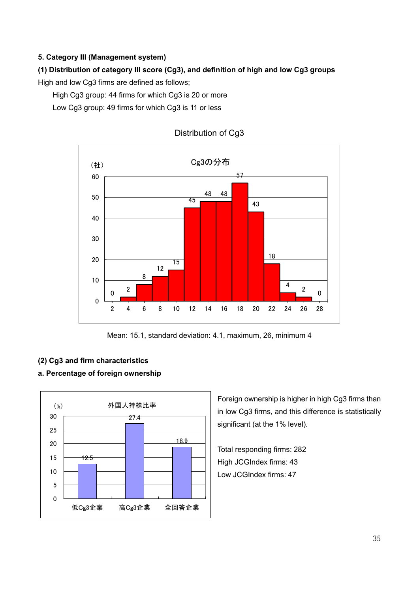## 5. Category III (Management system)

# (1) Distribution of category III score (Cg3), and definition of high and low Cg3 groups

High and low Cg3 firms are defined as follows;

High Cg3 group: 44 firms for which Cg3 is 20 or more

Low Cg3 group: 49 firms for which Cg3 is 11 or less



## Distribution of Cg3

Mean: 15.1, standard deviation: 4.1, maximum, 26, minimum 4

## (2) Cg3 and firm characteristics

## a. Percentage of foreign ownership



Foreign ownership is higher in high Cg3 firms than in low Cg3 firms, and this difference is statistically significant (at the 1% level).

Total responding firms: 282 High JCGIndex firms: 43 Low JCGIndex firms: 47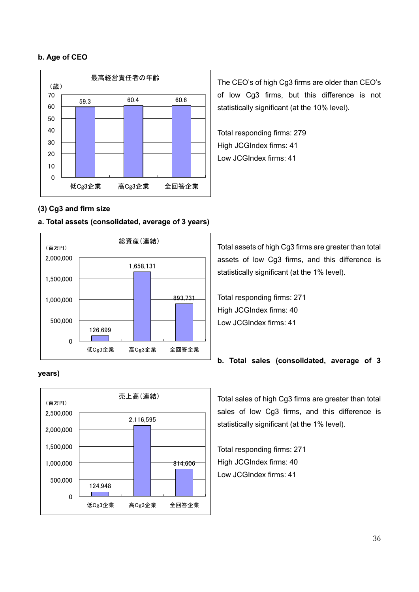## b. Age of CEO



(3) Cg3 and firm size

## a. Total assets (consolidated, average of 3 years)



years)



The CEO's of high Cg3 firms are older than CEO's of low Cg3 firms, but this difference is not statistically significant (at the 10% level).

Total responding firms: 279 High JCGIndex firms: 41 Low JCGIndex firms: 41

Total assets of high Cg3 firms are greater than total assets of low Cg3 firms, and this difference is statistically significant (at the 1% level).

Total responding firms: 271 High JCGIndex firms: 40 Low JCGIndex firms: 41

## b. Total sales (consolidated, average of 3

Total sales of high Cg3 firms are greater than total sales of low Cg3 firms, and this difference is statistically significant (at the 1% level).

Total responding firms: 271 High JCGIndex firms: 40 Low JCGIndex firms: 41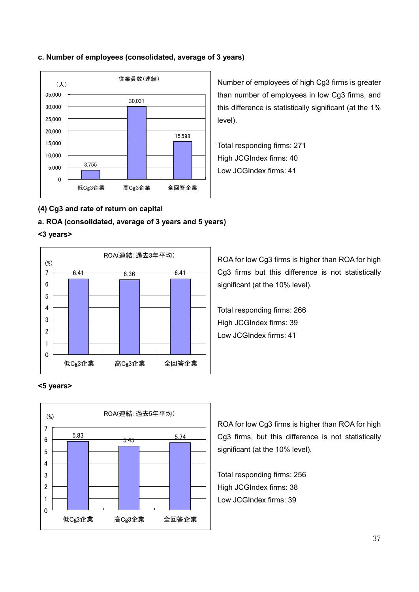

#### c. Number of employees (consolidated, average of 3 years)

Number of employees of high Cg3 firms is greater than number of employees in low Cg3 firms, and this difference is statistically significant (at the 1% level).

Total responding firms: 271 High JCGIndex firms: 40 Low JCGIndex firms: 41

## (4) Cg3 and rate of return on capital

## a. ROA (consolidated, average of 3 years and 5 years)

#### <3 years>



ROA for low Cg3 firms is higher than ROA for high Cg3 firms but this difference is not statistically significant (at the 10% level).

Total responding firms: 266 High JCGIndex firms: 39 Low JCGIndex firms: 41

#### <5 years>



ROA for low Cg3 firms is higher than ROA for high Cg3 firms, but this difference is not statistically significant (at the 10% level).

Total responding firms: 256 High JCGIndex firms: 38 Low JCGIndex firms: 39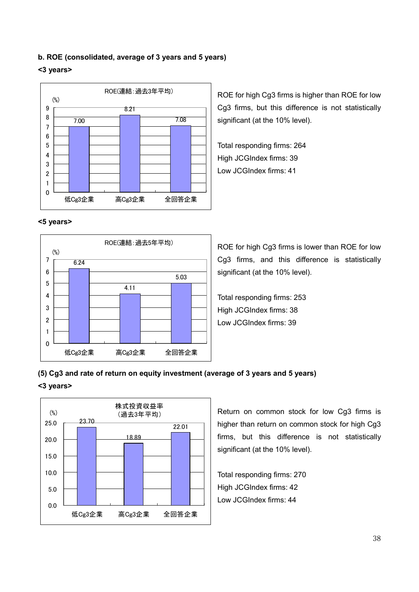#### b. ROE (consolidated, average of 3 years and 5 years)

#### <3 years>



ROE for high Cg3 firms is higher than ROE for low Cg3 firms, but this difference is not statistically significant (at the 10% level).

Total responding firms: 264 High JCGIndex firms: 39 Low JCGIndex firms: 41

#### <5 years>



ROE for high Cg3 firms is lower than ROE for low Cg3 firms, and this difference is statistically significant (at the 10% level).

Total responding firms: 253 High JCGIndex firms: 38 Low JCGIndex firms: 39

# (5) Cg3 and rate of return on equity investment (average of 3 years and 5 years)

#### <3 years>



Return on common stock for low Cg3 firms is higher than return on common stock for high Cg3 firms, but this difference is not statistically significant (at the 10% level).

Total responding firms: 270 High JCGIndex firms: 42 Low JCGIndex firms: 44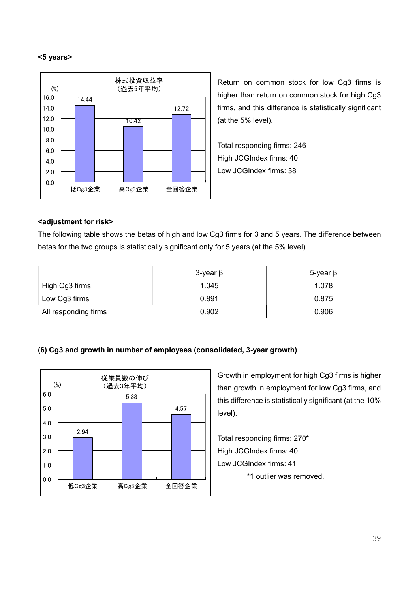#### <5 years>



Return on common stock for low Cg3 firms is higher than return on common stock for high Cg3 firms, and this difference is statistically significant (at the 5% level).

Total responding firms: 246 High JCGIndex firms: 40 Low JCGIndex firms: 38

#### <adjustment for risk>

The following table shows the betas of high and low Cg3 firms for 3 and 5 years. The difference between betas for the two groups is statistically significant only for 5 years (at the 5% level).

|                      | $3$ -year $\beta$ | $5$ -year $\beta$ |
|----------------------|-------------------|-------------------|
| High Cg3 firms       | 1.045             | 1.078             |
| Low Cg3 firms        | 0.891             | 0.875             |
| All responding firms | 0.902             | 0.906             |

## (6) Cg3 and growth in number of employees (consolidated, 3-year growth)



Growth in employment for high Cg3 firms is higher than growth in employment for low Cg3 firms, and this difference is statistically significant (at the 10% level).

Total responding firms: 270\* High JCGIndex firms: 40 Low JCGIndex firms: 41 \*1 outlier was removed.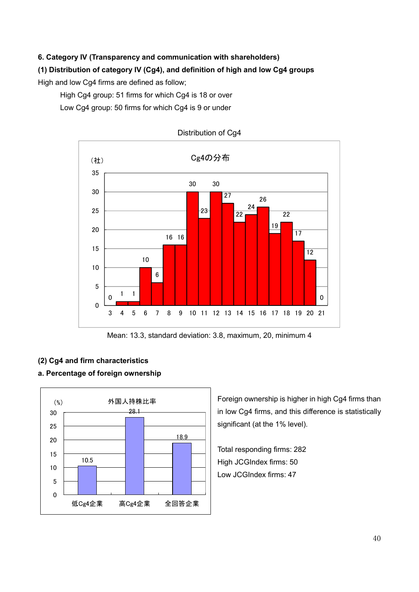## 6. Category IV (Transparency and communication with shareholders)

## (1) Distribution of category IV (Cg4), and definition of high and low Cg4 groups

High and low Cg4 firms are defined as follow;

High Cg4 group: 51 firms for which Cg4 is 18 or over

Low Cg4 group: 50 firms for which Cg4 is 9 or under



Distribution of Cg4

Mean: 13.3, standard deviation: 3.8, maximum, 20, minimum 4

## (2) Cg4 and firm characteristics

#### a. Percentage of foreign ownership



Foreign ownership is higher in high Cg4 firms than in low Cg4 firms, and this difference is statistically significant (at the 1% level).

Total responding firms: 282 High JCGIndex firms: 50 Low JCGIndex firms: 47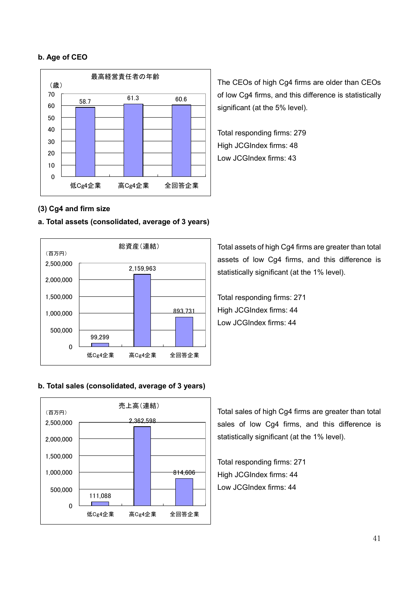## b. Age of CEO



The CEOs of high Cg4 firms are older than CEOs of low Cg4 firms, and this difference is statistically significant (at the 5% level).

Total responding firms: 279 High JCGIndex firms: 48 Low JCGIndex firms: 43

# (3) Cg4 and firm size

## a. Total assets (consolidated, average of 3 years)



Total assets of high Cg4 firms are greater than total assets of low Cg4 firms, and this difference is statistically significant (at the 1% level).

Total responding firms: 271 High JCGIndex firms: 44 Low JCGIndex firms: 44

#### b. Total sales (consolidated, average of 3 years)



Total sales of high Cg4 firms are greater than total sales of low Cg4 firms, and this difference is statistically significant (at the 1% level).

Total responding firms: 271 High JCGIndex firms: 44 Low JCGIndex firms: 44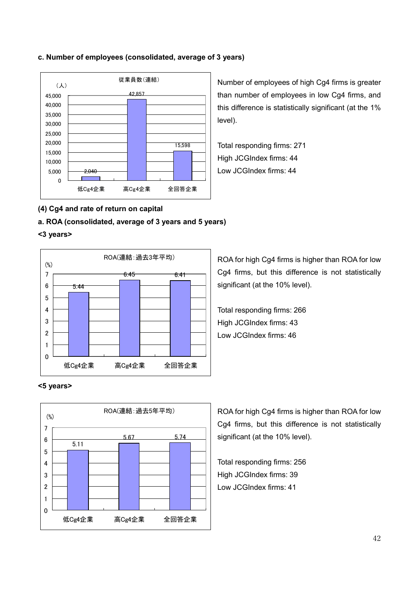#### c. Number of employees (consolidated, average of 3 years)



Number of employees of high Cg4 firms is greater than number of employees in low Cg4 firms, and this difference is statistically significant (at the 1% level).

Total responding firms: 271 High JCGIndex firms: 44 Low JCGIndex firms: 44

## (4) Cg4 and rate of return on capital

## a. ROA (consolidated, average of 3 years and 5 years)

#### <3 years>



ROA for high Cg4 firms is higher than ROA for low Cg4 firms, but this difference is not statistically significant (at the 10% level).

Total responding firms: 266 High JCGIndex firms: 43 Low JCGIndex firms: 46

#### <5 years>



ROA for high Cg4 firms is higher than ROA for low Cg4 firms, but this difference is not statistically significant (at the 10% level).

Total responding firms: 256 High JCGIndex firms: 39 Low JCGIndex firms: 41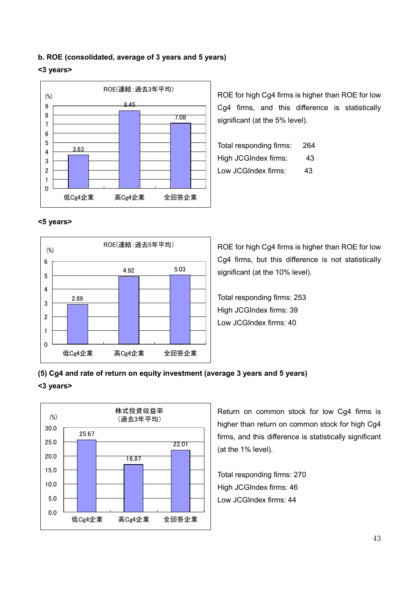#### b. ROE (consolidated, average of 3 years and 5 years)

#### <3 years>



ROE for high Cg4 firms is higher than ROE for low Cg4 firms, and this difference is statistically significant (at the 5% level).

| Total responding firms: | 264 |
|-------------------------|-----|
| High JCGIndex firms:    | 43  |
| Low JCGIndex firms:     | 43  |

#### <5 years>



ROE for high Cg4 firms is higher than ROE for low Cg4 firms, but this difference is not statistically significant (at the 10% level).

Total responding firms: 253 High JCGIndex firms: 39 Low JCGIndex firms: 40

# (5) Cg4 and rate of return on equity investment (average 3 years and 5 years)

#### <3 years>



Return on common stock for low Cg4 firms is higher than return on common stock for high Cg4 firms, and this difference is statistically significant (at the 1% level).

Total responding firms: 270 High JCGIndex firms: 46 Low JCGIndex firms: 44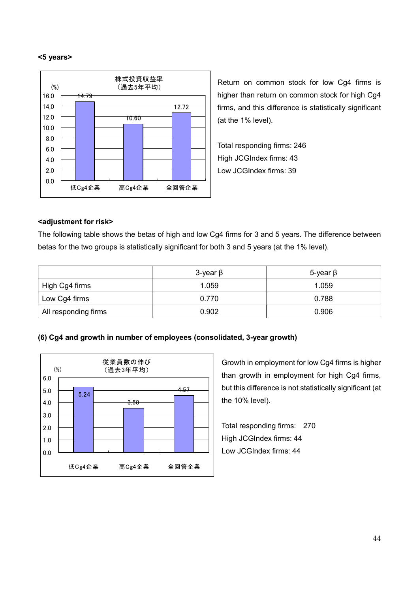#### <5 years>



Return on common stock for low Cg4 firms is higher than return on common stock for high Cg4 firms, and this difference is statistically significant (at the 1% level).

Total responding firms: 246 High JCGIndex firms: 43 Low JCGIndex firms: 39

#### <adjustment for risk>

The following table shows the betas of high and low Cg4 firms for 3 and 5 years. The difference between betas for the two groups is statistically significant for both 3 and 5 years (at the 1% level).

|                      | 3-year β | $5$ -year $\beta$ |  |
|----------------------|----------|-------------------|--|
| High Cg4 firms       | 1.059    | 1.059             |  |
| Low Cg4 firms        | 0.770    | 0.788             |  |
| All responding firms | 0.902    | 0.906             |  |

#### (6) Cg4 and growth in number of employees (consolidated, 3-year growth)



Growth in employment for low Cg4 firms is higher than growth in employment for high Cg4 firms, but this difference is not statistically significant (at the 10% level).

Total responding firms: 270 High JCGIndex firms: 44 Low JCGIndex firms: 44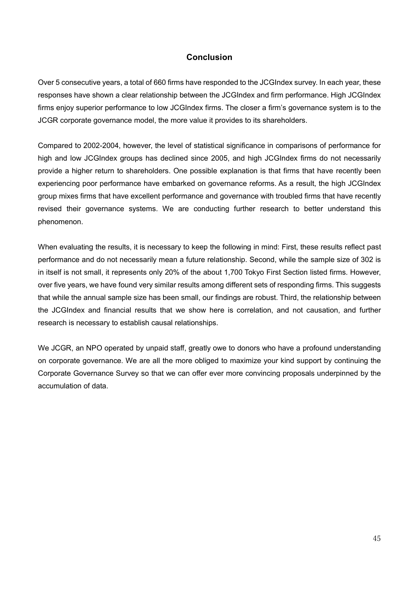## Conclusion

Over 5 consecutive years, a total of 660 firms have responded to the JCGIndex survey. In each year, these responses have shown a clear relationship between the JCGIndex and firm performance. High JCGIndex firms enjoy superior performance to low JCGIndex firms. The closer a firm's governance system is to the JCGR corporate governance model, the more value it provides to its shareholders.

Compared to 2002-2004, however, the level of statistical significance in comparisons of performance for high and low JCGIndex groups has declined since 2005, and high JCGIndex firms do not necessarily provide a higher return to shareholders. One possible explanation is that firms that have recently been experiencing poor performance have embarked on governance reforms. As a result, the high JCGIndex group mixes firms that have excellent performance and governance with troubled firms that have recently revised their governance systems. We are conducting further research to better understand this phenomenon.

When evaluating the results, it is necessary to keep the following in mind: First, these results reflect past performance and do not necessarily mean a future relationship. Second, while the sample size of 302 is in itself is not small, it represents only 20% of the about 1,700 Tokyo First Section listed firms. However, over five years, we have found very similar results among different sets of responding firms. This suggests that while the annual sample size has been small, our findings are robust. Third, the relationship between the JCGIndex and financial results that we show here is correlation, and not causation, and further research is necessary to establish causal relationships.

We JCGR, an NPO operated by unpaid staff, greatly owe to donors who have a profound understanding on corporate governance. We are all the more obliged to maximize your kind support by continuing the Corporate Governance Survey so that we can offer ever more convincing proposals underpinned by the accumulation of data.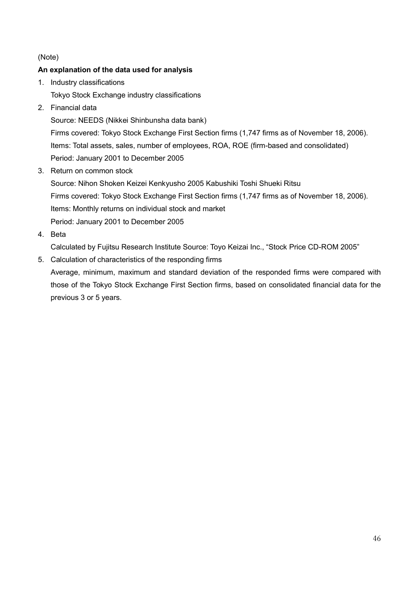## (Note)

## An explanation of the data used for analysis

- 1. Industry classifications Tokyo Stock Exchange industry classifications
- 2. Financial data

Source: NEEDS (Nikkei Shinbunsha data bank)

Firms covered: Tokyo Stock Exchange First Section firms (1,747 firms as of November 18, 2006). Items: Total assets, sales, number of employees, ROA, ROE (firm-based and consolidated) Period: January 2001 to December 2005

3. Return on common stock

Source: Nihon Shoken Keizei Kenkyusho 2005 Kabushiki Toshi Shueki Ritsu Firms covered: Tokyo Stock Exchange First Section firms (1,747 firms as of November 18, 2006). Items: Monthly returns on individual stock and market Period: January 2001 to December 2005

4. Beta

Calculated by Fujitsu Research Institute Source: Toyo Keizai Inc., "Stock Price CD-ROM 2005"

5. Calculation of characteristics of the responding firms

Average, minimum, maximum and standard deviation of the responded firms were compared with those of the Tokyo Stock Exchange First Section firms, based on consolidated financial data for the previous 3 or 5 years.